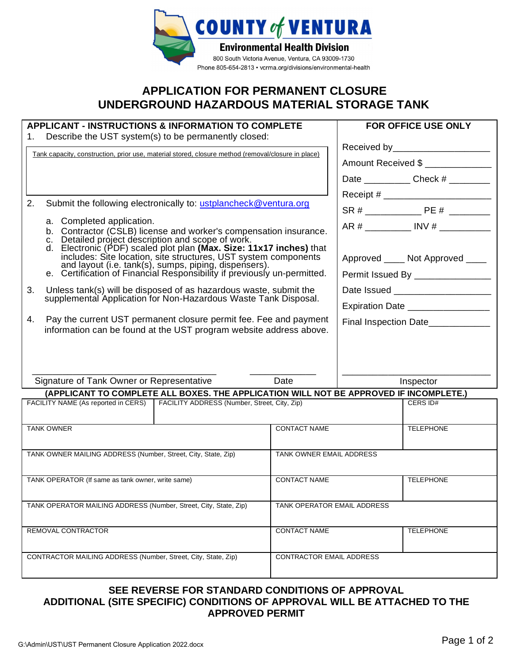

## **APPLICATION FOR PERMANENT CLOSURE UNDERGROUND HAZARDOUS MATERIAL STORAGE TANK**

| <b>APPLICANT - INSTRUCTIONS &amp; INFORMATION TO COMPLETE</b><br>Describe the UST system(s) to be permanently closed:<br>1. |                                                                                                                                     |                                  | <b>FOR OFFICE USE ONLY</b>              |  |
|-----------------------------------------------------------------------------------------------------------------------------|-------------------------------------------------------------------------------------------------------------------------------------|----------------------------------|-----------------------------------------|--|
| Tank capacity, construction, prior use, material stored, closure method (removal/closure in place)                          |                                                                                                                                     |                                  | Received by _______________________     |  |
|                                                                                                                             |                                                                                                                                     |                                  | Amount Received \$                      |  |
|                                                                                                                             |                                                                                                                                     |                                  | Date _______________ Check # _________  |  |
|                                                                                                                             |                                                                                                                                     |                                  |                                         |  |
| 2.                                                                                                                          | Submit the following electronically to: ustplancheck@ventura.org                                                                    |                                  |                                         |  |
|                                                                                                                             | a. Completed application.                                                                                                           |                                  | AR # ___________ INV # ___________      |  |
|                                                                                                                             | b. Contractor (CSLB) license and worker's compensation insurance.<br>Detailed project description and scope of work.<br>C.          |                                  |                                         |  |
|                                                                                                                             | d. Electronic (PDF) scaled plot plan (Max. Size: 11x17 inches) that includes: Site location, site structures, UST system components |                                  | Approved _____ Not Approved ____        |  |
|                                                                                                                             | and layout (i.e. tank(s), sumps, piping, dispensers).<br>e. Certification of Financial Responsibility if previously un-permitted.   |                                  | Permit Issued By _________________      |  |
| 3.                                                                                                                          | Unless tank(s) will be disposed of as hazardous waste, submit the                                                                   | Date Issued ____________________ |                                         |  |
|                                                                                                                             | supplemental Application for Non-Hazardous Waste Tank Disposal.                                                                     |                                  |                                         |  |
| 4.                                                                                                                          | Pay the current UST permanent closure permit fee. Fee and payment                                                                   |                                  | Expiration Date __________________      |  |
|                                                                                                                             | information can be found at the UST program website address above.                                                                  |                                  | Final Inspection Date__________         |  |
|                                                                                                                             |                                                                                                                                     |                                  |                                         |  |
|                                                                                                                             |                                                                                                                                     |                                  |                                         |  |
|                                                                                                                             |                                                                                                                                     |                                  |                                         |  |
|                                                                                                                             | Signature of Tank Owner or Representative<br>(APPLICANT TO COMPLETE ALL BOXES. THE APPLICATION WILL NOT BE APPROVED IF INCOMPLETE.) | Date                             | Inspector                               |  |
|                                                                                                                             | FACILITY NAME (As reported in CERS)   FACILITY ADDRESS (Number, Street, City, Zip)                                                  |                                  | CERS ID#                                |  |
|                                                                                                                             |                                                                                                                                     |                                  |                                         |  |
| <b>TANK OWNER</b>                                                                                                           |                                                                                                                                     | <b>CONTACT NAME</b>              | <b>TELEPHONE</b>                        |  |
|                                                                                                                             |                                                                                                                                     |                                  |                                         |  |
| TANK OWNER MAILING ADDRESS (Number, Street, City, State, Zip)                                                               |                                                                                                                                     | TANK OWNER EMAIL ADDRESS         |                                         |  |
| TANK OPERATOR (If same as tank owner, write same)                                                                           |                                                                                                                                     |                                  | <b>CONTACT NAME</b><br><b>TELEPHONE</b> |  |
|                                                                                                                             |                                                                                                                                     |                                  |                                         |  |
| TANK OPERATOR MAILING ADDRESS (Number, Street, City, State, Zip)                                                            |                                                                                                                                     | TANK OPERATOR EMAIL ADDRESS      |                                         |  |
|                                                                                                                             |                                                                                                                                     |                                  |                                         |  |
| REMOVAL CONTRACTOR                                                                                                          |                                                                                                                                     | <b>CONTACT NAME</b>              | <b>TELEPHONE</b>                        |  |
|                                                                                                                             |                                                                                                                                     |                                  |                                         |  |
|                                                                                                                             | CONTRACTOR MAILING ADDRESS (Number, Street, City, State, Zip)                                                                       | CONTRACTOR EMAIL ADDRESS         |                                         |  |
|                                                                                                                             |                                                                                                                                     |                                  |                                         |  |

## **SEE REVERSE FOR STANDARD CONDITIONS OF APPROVAL ADDITIONAL (SITE SPECIFIC) CONDITIONS OF APPROVAL WILL BE ATTACHED TO THE APPROVED PERMIT**